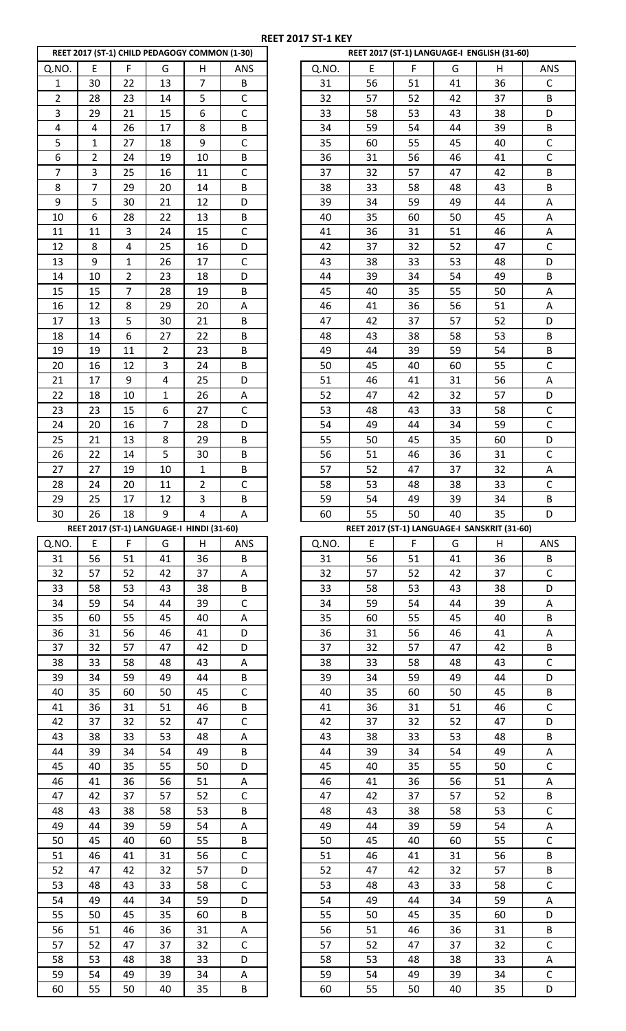|                         |                |                | REET 2017 (ST-1) CHILD PEDAGOGY COMMON (1-30) |                         |              |
|-------------------------|----------------|----------------|-----------------------------------------------|-------------------------|--------------|
| Q.NO.                   | E              | F              | G                                             | Н                       | ANS          |
| $\mathbf 1$             | 30             | 22             | 13                                            | 7                       | B            |
| $\overline{\mathbf{c}}$ | 28             | 23             | 14                                            | 5                       | C            |
| 3                       | 29             | 21             | 15                                            | 6                       | Ċ            |
| 4                       | 4              | 26             | 17                                            | 8                       | B            |
| 5                       | $\overline{1}$ | 27             |                                               | 9                       | $\mathsf{C}$ |
|                         |                |                | 18                                            |                         |              |
| 6                       | $\overline{c}$ | 24             | 19                                            | 10                      | B            |
| 7                       | 3              | 25             | 16                                            | 11                      | $\mathsf{C}$ |
| 8                       | 7              | 29             | 20                                            | 14                      | B            |
| 9                       | 5              | 30             | 21                                            | 12                      | D            |
| 10                      | 6              | 28             | 22                                            | 13                      | B            |
| 11                      | 11             | 3              | 24                                            | 15                      | C            |
| 12                      | 8              | 4              | 25                                            | 16                      | D            |
| 13                      | 9              | $\mathbf{1}$   | 26                                            | 17                      | C            |
| 14                      | 10             | 2              | 23                                            | 18                      | D            |
| 15                      | 15             | $\overline{7}$ | 28                                            | 19                      | B            |
| 16                      | 12             | 8              | 29                                            | 20                      | Α            |
| 17                      | 13             | 5              | 30                                            | 21                      | B            |
|                         |                |                |                                               |                         |              |
| 18                      | 14             | 6              | 27                                            | 22                      | B            |
| 19                      | 19             | 11             | $\overline{2}$                                | 23                      | B            |
| 20                      | 16             | 12             | 3                                             | 24                      | B            |
| 21                      | 17             | 9              | 4                                             | 25                      | D            |
| 22                      | 18             | 10             | $\overline{1}$                                | 26                      | Α            |
| 23                      | 23             | 15             | 6                                             | 27                      | C            |
| 24                      | 20             | 16             | $\overline{7}$                                | 28                      | D            |
| 25                      | 21             | 13             | 8                                             | 29                      | B            |
| 26                      | 22             | 14             | 5                                             | 30                      | B            |
| 27                      | 27             | 19             | 10                                            | $\mathbf 1$             | B            |
| 28                      | 24             | 20             | 11                                            | $\overline{\mathbf{c}}$ | С            |
| 29                      | 25             | 17             | 12                                            | 3                       | B            |
| 30                      | 26             | 18             | 9                                             | 4                       | Α            |
|                         |                |                |                                               |                         |              |
|                         |                |                | REET 2017 (ST-1) LANGUAGE-I HINDI (31-60)     |                         |              |
| Q.NO.                   |                | F              |                                               |                         |              |
|                         | E              |                | G                                             | Н                       | ANS          |
| 31                      | 56             | 51             | 41                                            | 36                      | B            |
| 32                      | 57             | 52             | 42                                            | 37                      | Α            |
| 33                      | 58             | 53             | 43                                            | 38                      | В            |
| 34                      | 59             | 54             | 44                                            | 39                      | C            |
| 35                      | 60             | 55             | 45                                            | 40                      | А            |
| 36                      | 31             | 56             | 46                                            | 41                      | D            |
| 37                      | 32             | 57             | 47                                            | 42                      | D            |
| 38                      | 33             | 58             | 48                                            | 43                      | А            |
| 39                      | 34             | 59             | 49                                            | 44                      | B            |
| 40                      | 35             | 60             | 50                                            | 45                      | C            |
| 41                      | 36             | 31             | 51                                            | 46                      | B            |
| 42                      | 37             | 32             | 52                                            | 47                      | C            |
| 43                      | 38             | 33             | 53                                            | 48                      | А            |
| 44                      | 39             | 34             | 54                                            | 49                      | B            |
| 45                      | 40             | 35             | 55                                            | 50                      | D            |
| 46                      | 41             | 36             | 56                                            | 51                      | А            |
| 47                      | 42             | 37             | 57                                            | 52                      | C            |
|                         |                |                |                                               |                         |              |
| 48                      | 43             | 38             | 58                                            | 53                      | В            |
| 49                      | 44             | 39             | 59                                            | 54                      | Α            |
| 50                      | 45             | 40             | 60                                            | 55                      | B            |
| 51                      | 46             | 41             | 31                                            | 56                      | C            |
| 52                      | 47             | 42             | 32                                            | 57                      | D            |
| 53                      | 48             | 43             | 33                                            | 58                      | C            |
| 54                      | 49             | 44             | 34                                            | 59                      | D            |
| 55                      | 50             | 45             | 35                                            | 60                      | B            |
| 56                      | 51             | 46             | 36                                            | 31                      | А            |
| 57                      | 52             | 47             | 37                                            | 32                      | С            |
| 58                      | 53             | 48             | 38                                            | 33                      | D            |
| 59<br>60                | 54<br>55       | 49<br>50       | 39<br>40                                      | 34<br>35                | A<br>В       |

|                |                |                | REET 2017 (ST-1) CHILD PEDAGOGY COMMON (1-30) |                |              |          |    |    |    | REET 2017 (ST-1) LANGUAGE-I ENGLISH (31-60)  |              |
|----------------|----------------|----------------|-----------------------------------------------|----------------|--------------|----------|----|----|----|----------------------------------------------|--------------|
| Q.NO.          | E              | F              | G                                             | H              | ANS          | Q.NO.    | E  | F  | G  | H                                            | ANS          |
| $\mathbf{1}$   | 30             | 22             | 13                                            | $\overline{7}$ | B            | 31       | 56 | 51 | 41 | 36                                           | $\mathsf{C}$ |
| $\overline{2}$ | 28             | 23             | 14                                            | 5              | $\mathsf C$  | 32       | 57 | 52 | 42 | 37                                           | B            |
| 3              | 29             | 21             | 15                                            | 6              | $\mathsf C$  | 33       | 58 | 53 | 43 | 38                                           | D            |
| 4              | 4              | 26             | 17                                            | 8              | B            | 34       | 59 | 54 | 44 | 39                                           | B            |
| 5              | $\mathbf{1}$   | 27             | 18                                            | 9              | $\mathsf C$  | 35       | 60 | 55 | 45 | 40                                           | $\mathsf C$  |
| 6              | $\overline{2}$ | 24             | 19                                            | 10             | B            | 36       | 31 | 56 | 46 | 41                                           | $\mathsf C$  |
| $\overline{7}$ | 3              | 25             | 16                                            | 11             | $\mathsf C$  | 37       | 32 | 57 | 47 | 42                                           | B            |
|                | $\overline{7}$ |                |                                               |                |              |          |    |    |    |                                              |              |
| 8              |                | 29             | 20                                            | 14             | B            | 38       | 33 | 58 | 48 | 43                                           | B            |
| 9              | 5              | 30             | 21                                            | 12             | D            | 39       | 34 | 59 | 49 | 44                                           | Α            |
| 10             | 6              | 28             | 22                                            | 13             | B            | 40       | 35 | 60 | 50 | 45                                           | Α            |
| 11             | 11             | 3              | 24                                            | 15             | $\mathsf C$  | 41       | 36 | 31 | 51 | 46                                           | Α            |
| 12             | 8              | $\overline{4}$ | 25                                            | 16             | D            | 42       | 37 | 32 | 52 | 47                                           | $\mathsf C$  |
| 13             | 9              | $\mathbf 1$    | 26                                            | 17             | $\mathsf C$  | 43       | 38 | 33 | 53 | 48                                           | D            |
| 14             | 10             | $\overline{2}$ | 23                                            | 18             | D            | 44       | 39 | 34 | 54 | 49                                           | B            |
| 15             | 15             | $\overline{7}$ | 28                                            | 19             | B            | 45       | 40 | 35 | 55 | 50                                           | Α            |
| 16             | 12             | 8              | 29                                            | 20             | Α            | 46       | 41 | 36 | 56 | 51                                           | Α            |
| 17             | 13             | 5              | 30                                            | 21             | B            | 47       | 42 | 37 | 57 | 52                                           | D            |
| 18             | 14             | 6              | 27                                            | 22             | B            | 48       | 43 | 38 | 58 | 53                                           | B            |
| 19             | 19             | 11             | $\overline{2}$                                | 23             | B            | 49       | 44 | 39 | 59 | 54                                           | B            |
| 20             | 16             | 12             | 3                                             | 24             | B            | 50       | 45 | 40 | 60 | 55                                           | $\mathsf C$  |
| 21             | 17             | 9              | 4                                             | 25             | D            | 51       | 46 | 41 | 31 | 56                                           | $\mathsf A$  |
| 22             | 18             | 10             | $\mathbf{1}$                                  | 26             | А            | 52       | 47 | 42 | 32 | 57                                           | D            |
| 23             | 23             | 15             | $\boldsymbol{6}$                              | 27             | $\mathsf C$  | 53       | 48 | 43 | 33 | 58                                           | $\mathsf C$  |
|                | 20             | 16             | 7                                             | 28             | D            | 54       | 49 | 44 |    | 59                                           | $\mathsf C$  |
| 24             |                | 13             | 8                                             |                |              | 55       |    |    | 34 |                                              | D            |
| 25             | 21             |                |                                               | 29             | B            |          | 50 | 45 | 35 | 60                                           |              |
| 26             | 22             | 14             | 5                                             | 30             | B            | 56       | 51 | 46 | 36 | 31                                           | $\mathsf C$  |
| 27             | 27             | 19             | 10                                            | $\mathbf 1$    | B            | 57       | 52 | 47 | 37 | 32                                           | Α            |
| 28             | 24             | 20             | 11                                            | $\overline{2}$ | $\mathsf C$  | 58       | 53 | 48 | 38 | 33                                           | $\mathsf C$  |
| 29             | 25             | 17             | 12                                            | 3              | B            | 59       | 54 | 49 | 39 | 34                                           | B            |
| 30             | 26             | 18             | 9                                             | 4              | Α            | 60       | 55 | 50 | 40 | 35                                           | D            |
|                |                |                |                                               |                |              |          |    |    |    |                                              |              |
|                |                |                | REET 2017 (ST-1) LANGUAGE-I HINDI (31-60)     |                |              |          |    |    |    | REET 2017 (ST-1) LANGUAGE-I SANSKRIT (31-60) |              |
|                | E              | F              | G                                             | н              | ANS          | Q.NO.    | E  | F  | G  | н                                            | ANS          |
| 31             | 56             | 51             | 41                                            | 36             | B            | 31       | 56 | 51 | 41 | 36                                           | B            |
| Q.NO.<br>32    | 57             | 52             | 42                                            | 37             | А            | 32       | 57 | 52 | 42 | 37                                           | $\mathsf{C}$ |
| 33             | 58             | 53             | 43                                            | 38             | B            | 33       | 58 | 53 | 43 | 38                                           | D            |
| 34             | 59             | 54             | 44                                            | 39             | $\mathsf C$  | 34       | 59 | 54 | 44 | 39                                           | A            |
| 35             | 60             | 55             | 45                                            | 40             | Α            | 35       | 60 | 55 | 45 | 40                                           | B            |
| 36             | 31             | 56             | 46                                            | 41             | D            | 36       | 31 | 56 | 46 | 41                                           | A            |
| 37             | 32             | 57             | 47                                            | 42             | D            | 37       | 32 | 57 | 47 | 42                                           | B            |
|                |                |                | 48                                            | 43             |              |          |    |    |    |                                              | $\mathsf C$  |
| 38             | 33             | 58             |                                               |                | Α            | 38       | 33 | 58 | 48 | 43                                           |              |
| 39             | 34<br>35       | 59             | 49<br>50                                      | 44<br>45       | B            | 39<br>40 | 34 | 59 | 49 | 44<br>45                                     | D<br>B       |
| 40             |                | 60             |                                               |                | $\mathsf C$  |          | 35 | 60 | 50 |                                              |              |
| 41             | 36             | 31             | 51                                            | 46             | B            | 41       | 36 | 31 | 51 | 46                                           | $\mathsf C$  |
| 42             | 37             | 32             | 52                                            | 47             | $\mathsf{C}$ | 42       | 37 | 32 | 52 | 47                                           | D            |
| 43             | 38             | 33             | 53                                            | 48             | Α            | 43       | 38 | 33 | 53 | 48                                           | B            |
| 44             | 39             | 34             | 54                                            | 49             | B            | 44       | 39 | 34 | 54 | 49                                           | A            |
| 45             | 40             | 35             | 55                                            | 50             | D            | 45       | 40 | 35 | 55 | 50                                           | $\mathsf C$  |
| 46             | 41             | 36             | 56                                            | 51             | A            | 46       | 41 | 36 | 56 | 51                                           | A            |
| 47             | 42             | 37             | 57                                            | 52             | $\mathsf C$  | 47       | 42 | 37 | 57 | 52                                           | B            |
| 48             | 43             | 38             | 58                                            | 53             | B            | 48       | 43 | 38 | 58 | 53                                           | $\mathsf C$  |
| 49             | 44             | 39             | 59                                            | 54             | Α            | 49       | 44 | 39 | 59 | 54                                           | A            |
| 50             | 45             | 40             | 60                                            | 55             | B            | 50       | 45 | 40 | 60 | 55                                           | $\mathsf{C}$ |
| 51             | 46             | 41             | 31                                            | 56             | $\mathsf C$  | 51       | 46 | 41 | 31 | 56                                           | B            |
| 52             | 47             | 42             | 32                                            | 57             | D            | 52       | 47 | 42 | 32 | 57                                           | B            |
| 53             | 48             | 43             | 33                                            | 58             | $\mathsf C$  | 53       | 48 | 43 | 33 | 58                                           | $\mathsf C$  |
| 54             | 49             | 44             | 34                                            | 59             | D            | 54       | 49 | 44 | 34 | 59                                           | A            |
| 55             | 50             | 45             | 35                                            | 60             | B            | 55       | 50 | 45 | 35 | 60                                           | D            |
| 56             | 51             | 46             | 36                                            | 31             | А            | 56       | 51 | 46 | 36 | 31                                           | B            |
| 57             | 52             | 47             | 37                                            | 32             | $\mathsf C$  | 57       | 52 | 47 | 37 | 32                                           | $\mathsf C$  |
| 58             | 53             | 48             | 38                                            | 33             | D            | 58       | 53 | 48 | 38 | 33                                           | A            |
| 59             | 54             | 49             | 39                                            | 34             | Α            | 59       | 54 | 49 | 39 | 34                                           | $\mathsf C$  |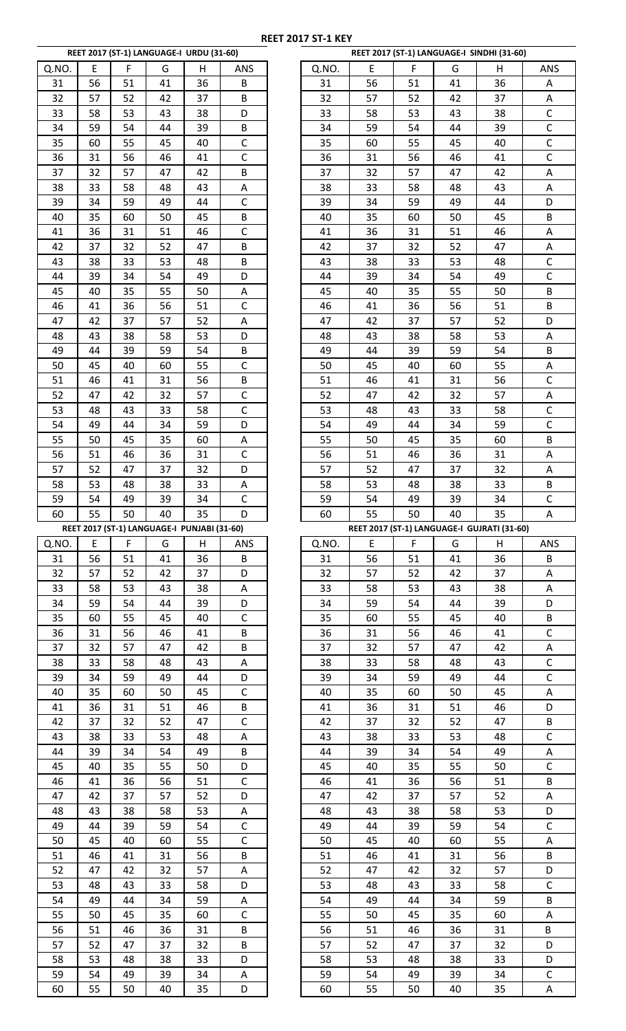|          |          |          | REET 2017 (ST-1) LANGUAGE-I URDU (31-60)    |          |                |
|----------|----------|----------|---------------------------------------------|----------|----------------|
| Q.NO.    | E        | F        | G                                           | Η        | ANS            |
| 31       | 56       | 51       | 41                                          | 36       | B              |
|          |          |          |                                             |          |                |
| 32       | 57       | 52       | 42                                          | 37       | B              |
| 33       | 58       | 53       | 43                                          | 38       | D              |
| 34       | 59       | 54       | 44                                          | 39       | В              |
| 35       | 60       | 55       | 45                                          | 40       | C              |
| 36       | 31       | 56       | 46                                          | 41       | Ċ              |
| 37       | 32       | 57       | 47                                          | 42       | В              |
| 38       |          |          |                                             |          |                |
|          | 33       | 58       | 48                                          | 43       | A              |
| 39       | 34       | 59       | 49                                          | 44       | $\overline{C}$ |
| 40       | 35       | 60       | 50                                          | 45       | B              |
| 41       | 36       | 31       | 51                                          | 46       | $\mathsf{C}$   |
| 42       | 37       | 32       | 52                                          | 47       | B              |
| 43       | 38       | 33       | 53                                          | 48       | B              |
| 44       | 39       | 34       | 54                                          | 49       | D              |
| 45       | 40       | 35       | 55                                          | 50       | Α              |
|          |          |          |                                             |          |                |
| 46       | 41       | 36       | 56                                          | 51       | C              |
| 47       | 42       | 37       | 57                                          | 52       | Α              |
| 48       | 43       | 38       | 58                                          | 53       | D              |
| 49       | 44       | 39       | 59                                          | 54       | В              |
| 50       | 45       | 40       | 60                                          | 55       | C              |
| 51       | 46       | 41       | 31                                          | 56       | В              |
| 52       | 47       | 42       | 32                                          | 57       | C              |
| 53       | 48       | 43       | 33                                          | 58       | $\mathsf{C}$   |
|          |          |          |                                             |          |                |
| 54       | 49       | 44       | 34                                          | 59       | D              |
| 55       | 50       | 45       | 35                                          | 60       | Α              |
| 56       | 51       | 46       | 36                                          | 31       | C              |
| 57       | 52       | 47       | 37                                          | 32       | D              |
| 58       | 53       | 48       | 38                                          | 33       | A              |
| 59       | 54       | 49       | 39                                          | 34       | C              |
| 60       | 55       | 50       | 40                                          | 35       | D              |
|          |          |          |                                             |          |                |
|          |          |          |                                             |          |                |
|          |          |          | REET 2017 (ST-1) LANGUAGE-I PUNJABI (31-60) |          |                |
| Q.NO.    | E        | F        | G                                           | Η        | ANS            |
| 31       | 56       | 51       | 41                                          | 36       | В              |
| 32       | 57       | 52       | 42                                          | 37       | D              |
| 33       | 58       | 53       | 43                                          | 38       | A              |
| 34       | 59       | 54       | 44                                          | 39       | D              |
| 35       | 60       | 55       | 45                                          | 40       | $\overline{C}$ |
| 36       | 31       | 56       | 46                                          | 41       | В              |
|          |          |          |                                             |          |                |
| 37       | 32       | 57       | 47                                          | 42       | B              |
| 38       | 33       | 58       | 48                                          | 43       | A              |
| 39       | 34       | 59       | 49                                          | 44       | D              |
| 40       | 35       | 60       | 50                                          | 45       | C              |
| 41       | 36       | 31       | 51                                          | 46       | B              |
| 42       | 37       | 32       | 52                                          | 47       | $\mathsf{C}$   |
| 43       | 38       | 33       | 53                                          | 48       | A              |
| 44       | 39       | 34       | 54                                          | 49       | B              |
| 45       | 40       | 35       | 55                                          | 50       | D              |
|          |          |          |                                             |          |                |
| 46       | 41       | 36       | 56                                          | 51       | C              |
| 47       | 42       | 37       | 57                                          | 52       | D              |
| 48       | 43       | 38       | 58                                          | 53       | Α              |
| 49       | 44       | 39       | 59                                          | 54       | C              |
| 50       | 45       | 40       | 60                                          | 55       | C              |
| 51       | 46       | 41       | 31                                          | 56       | B              |
| 52       | 47       | 42       | 32                                          | 57       | Α              |
| 53       | 48       | 43       | 33                                          | 58       | D              |
| 54       | 49       | 44       | 34                                          | 59       | Α              |
|          |          |          |                                             |          |                |
| 55       | 50       | 45       | 35                                          | 60       | C              |
| 56       | 51       | 46       | 36                                          | 31       | B              |
| 57       | 52       | 47       | 37                                          | 32       | B              |
| 58       | 53       | 48       | 38                                          | 33       | D              |
| 59<br>60 | 54<br>55 | 49<br>50 | 39<br>40                                    | 34<br>35 | Α<br>D         |

|             |          |          | REET 2017 (ST-1) LANGUAGE-I URDU (31-60)    |          |              |          |          |          |          | REET 2017 (ST-1) LANGUAGE-I SINDHI (31-60)  |              |
|-------------|----------|----------|---------------------------------------------|----------|--------------|----------|----------|----------|----------|---------------------------------------------|--------------|
| Q.NO.       | E        | F        | G                                           | н        | ANS          | Q.NO.    | E        | F        | G        | н                                           | ANS          |
| 31          | 56       | 51       | 41                                          | 36       | В            | 31       | 56       | 51       | 41       | 36                                          | Α            |
| 32          | 57       | 52       | 42                                          | 37       | B            | 32       | 57       | 52       | 42       | 37                                          | Α            |
| 33          | 58       | 53       | 43                                          | 38       | D            | 33       | 58       | 53       | 43       | 38                                          | $\mathsf C$  |
| 34          | 59       | 54       | 44                                          | 39       | B            | 34       | 59       | 54       | 44       | 39                                          | $\mathsf C$  |
| 35          | 60       | 55       | 45                                          | 40       | $\mathsf C$  | 35       | 60       | 55       | 45       | 40                                          | $\mathsf C$  |
| 36          | 31       | 56       | 46                                          | 41       | $\mathsf C$  | 36       | 31       | 56       | 46       | 41                                          | $\mathsf C$  |
| 37          | 32       | 57       | 47                                          | 42       | B            | 37       | 32       | 57       | 47       | 42                                          | Α            |
| 38          | 33       | 58       | 48                                          | 43       | А            | 38       | 33       | 58       | 48       | 43                                          | Α            |
| 39          | 34       | 59       | 49                                          | 44       | $\mathsf C$  | 39       | 34       | 59       | 49       | 44                                          | D            |
| 40          | 35       | 60       | 50                                          | 45       | B            | 40       | 35       | 60       | 50       | 45                                          | B            |
| 41          | 36       | 31       | 51                                          | 46       | $\mathsf C$  | 41       | 36       | 31       | 51       | 46                                          | Α            |
| 42          | 37       | 32       | 52                                          | 47       | B            | 42       | 37       | 32       | 52       | 47                                          | Α            |
| 43          | 38       | 33       | 53                                          | 48       | B            | 43       | 38       | 33       | 53       | 48                                          | $\mathsf C$  |
| 44          | 39       | 34       | 54                                          | 49       | D            | 44       | 39       | 34       | 54       | 49                                          | $\mathsf{C}$ |
| 45          | 40       | 35       | 55                                          | 50       | Α            | 45       | 40       | 35       | 55       | 50                                          | B            |
| 46          | 41       | 36       | 56                                          | 51       | $\mathsf C$  | 46       | 41       | 36       | 56       | 51                                          | B            |
| 47          | 42       | 37       | 57                                          | 52       | A            | 47       | 42       | 37       | 57       | 52                                          | D            |
| 48          | 43       | 38       | 58                                          | 53       | D            | 48       | 43       | 38       | 58       | 53                                          | Α            |
| 49          | 44       | 39       | 59                                          | 54       | B            | 49       | 44       | 39       | 59       | 54                                          | B            |
| 50          | 45       | 40       | 60                                          | 55       | $\mathsf C$  | 50       | 45       | 40       | 60       | 55                                          | Α            |
| 51          | 46       | 41       | 31                                          | 56       | B            | 51       | 46       | 41       | 31       | 56                                          | $\mathsf C$  |
| 52          | 47       | 42       | 32                                          | 57       | $\mathsf C$  | 52       | 47       | 42       | 32       | 57                                          | A            |
| 53          | 48       | 43       | 33                                          | 58       | $\mathsf C$  | 53       | 48       | 43       | 33       | 58                                          | $\mathsf C$  |
| 54          | 49       | 44       | 34                                          | 59       | D            | 54       | 49       | 44       | 34       | 59                                          | $\mathsf{C}$ |
| 55          | 50       | 45       | 35                                          | 60       | Α            | 55       | 50       | 45       | 35       | 60                                          | B            |
| 56          | 51       | 46       | 36                                          | 31       | $\mathsf C$  | 56       | 51       | 46       | 36       | 31                                          | Α            |
| 57          | 52       | 47       | 37                                          | 32       | D            | 57       | 52       | 47       | 37       | 32                                          | Α            |
| 58          | 53       | 48       | 38                                          | 33       | А            | 58       | 53       | 48       | 38       | 33                                          | B            |
| 59          | 54       | 49       | 39                                          | 34       | $\mathsf{C}$ | 59       | 54       | 49       | 39       | 34                                          | $\mathsf{C}$ |
| 60          | 55       | 50       | 40                                          | 35       | D            | 60       | 55       | 50       | 40       | 35                                          | A            |
|             |          |          |                                             |          |              |          |          |          |          |                                             |              |
|             |          |          |                                             |          |              |          |          |          |          |                                             |              |
|             |          |          | REET 2017 (ST-1) LANGUAGE-I PUNJABI (31-60) |          |              |          |          |          |          | REET 2017 (ST-1) LANGUAGE-I GUJRATI (31-60) |              |
|             | E        | F        | G                                           | н        | ANS          | Q.NO.    | E        | F        | G        | н                                           | ANS          |
| 31          | 56       | 51       | 41                                          | 36       | B            | 31       | 56       | 51       | 41       | 36                                          | B            |
| 32          | 57       | 52       | 42                                          | 37       | D            | 32       | 57       | 52       | 42       | 37                                          | A            |
| Q.NO.<br>33 | 58       | 53       | 43                                          | 38       | А            | 33       | 58       | 53       | 43       | 38                                          | Α            |
| 34          | 59       | 54       | 44                                          | 39       | D            | 34       | 59       | 54       | 44       | 39                                          | D            |
| 35          | 60       | 55       | 45                                          | 40       | $\mathsf C$  | 35       | 60       | 55       | 45       | 40                                          | B            |
| 36          | 31       | 56       | 46                                          | 41       | B            | 36       | 31       | 56       | 46       | 41                                          | $\mathsf{C}$ |
| 37          | 32       | 57       | 47                                          | 42       | B            | 37       | 32       | 57       | 47       | 42                                          | Α            |
| 38          | 33       | 58       | 48                                          | 43       | Α            | 38       | 33       | 58       | 48       | 43                                          | $\mathsf C$  |
| 39          | 34       | 59       | 49                                          | 44       | D            | 39       | 34       | 59       | 49       | 44                                          | $\mathsf{C}$ |
| 40          | 35       | 60       | 50                                          | 45       | $\mathsf C$  | 40       | 35       | 60       | 50       | 45                                          | A            |
| 41          | 36       | 31       | 51                                          | 46       | B            | 41       | 36       | 31       | 51       | 46                                          | D            |
| 42          | 37       | 32       | 52                                          | 47       | $\mathsf C$  | 42       | 37       | 32       | 52       | 47                                          | B            |
| 43          | 38       | 33       | 53                                          | 48       | А            | 43       | 38       | 33       | 53       | 48                                          | $\mathsf{C}$ |
| 44          | 39       | 34       | 54                                          | 49       | B            | 44       | 39       | 34       | 54       | 49                                          | Α            |
| 45          | 40       | 35       | 55                                          | 50       | D            | 45       | 40       | 35       | 55       | 50                                          | $\mathsf{C}$ |
| 46          | 41       | 36       | 56                                          | 51       | $\mathsf C$  | 46       | 41       | 36       | 56       | 51                                          | B            |
| 47          | 42       | 37       | 57                                          | 52       | D            | 47       | 42       | 37       | 57       | 52                                          | Α            |
| 48          | 43       | 38       | 58                                          | 53       | А            | 48       | 43       | 38       | 58       | 53                                          | D            |
| 49          | 44       | 39       | 59                                          | 54       | $\mathsf C$  | 49       | 44       | 39       | 59       | 54                                          | C            |
| 50          | 45       | 40       | 60                                          | 55       | $\mathsf C$  | 50       | 45       | 40       | 60       | 55                                          | Α            |
| 51          | 46       | 41       | 31                                          | 56       | B            | 51       | 46       | 41       | 31       | 56                                          | B            |
| 52          | 47       | 42       | 32                                          | 57       | А            | 52       | 47       | 42       | 32       | 57                                          | D            |
| 53          | 48       | 43       | 33                                          | 58       | D            | 53       | 48       | 43       | 33       | 58                                          | $\mathsf{C}$ |
| 54          | 49       | 44       | 34                                          | 59       | Α            | 54       | 49       | 44       | 34       | 59                                          | B            |
| 55          | 50       | 45       | 35                                          | 60       | $\mathsf C$  | 55       | 50       | 45       | 35       | 60                                          | Α            |
| 56          | 51       | 46       | 36                                          | 31       | B            | 56       | 51       | 46       | 36       | 31                                          | B            |
| 57          | 52       | 47       | 37                                          | 32       | B            | 57       | 52       | 47       | 37       | 32                                          | D            |
| 58          | 53       | 48       | 38                                          | 33       | D            | 58       | 53       | 48       | 38       | 33                                          | D            |
| 59<br>60    | 54<br>55 | 49<br>50 | 39<br>40                                    | 34<br>35 | А<br>D       | 59<br>60 | 54<br>55 | 49<br>50 | 39<br>40 | 34<br>35                                    | C<br>A       |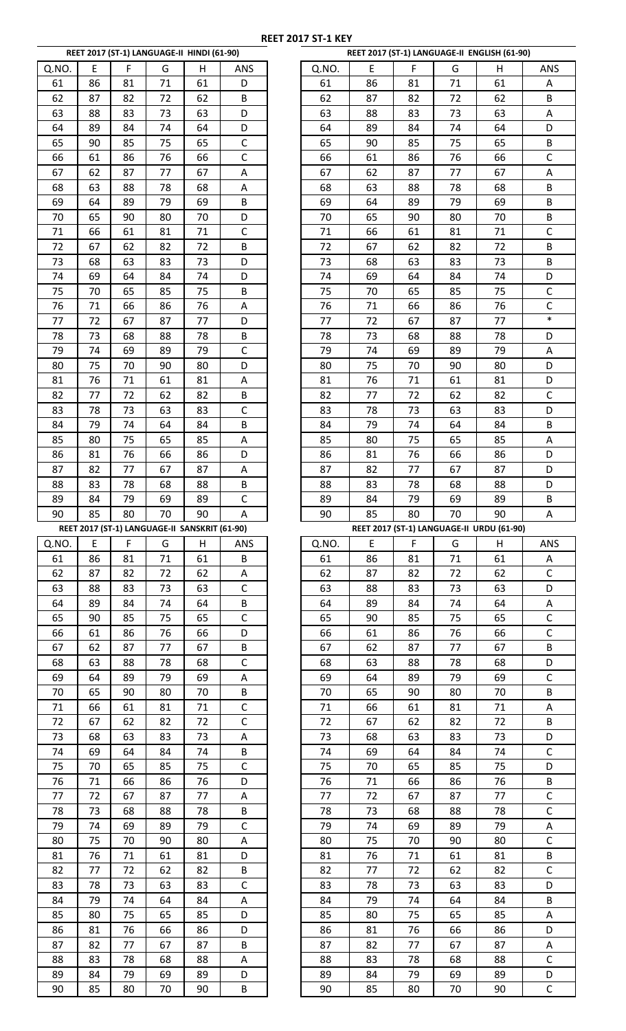|          |          |          | REET 2017 (ST-1) LANGUAGE-II HINDI (61-90)    |          |              |
|----------|----------|----------|-----------------------------------------------|----------|--------------|
|          |          |          |                                               |          |              |
| Q.NO.    | E        | F        | G                                             | Н        | <b>ANS</b>   |
| 61       | 86       | 81       | 71                                            | 61       | D            |
| 62       | 87       | 82       | 72                                            | 62       | B            |
| 63       | 88       | 83       | 73                                            | 63       | D            |
| 64       | 89       | 84       | 74                                            | 64       | D            |
| 65       | 90       | 85       | 75                                            | 65       | С            |
| 66       | 61       | 86       | 76                                            | 66       | Ċ            |
|          |          |          | 77                                            |          |              |
| 67       | 62       | 87       |                                               | 67       | A            |
| 68       | 63       | 88       | 78                                            | 68       | A            |
| 69       | 64       | 89       | 79                                            | 69       | B            |
| 70       | 65       | 90       | 80                                            | 70       | D            |
| 71       | 66       | 61       | 81                                            | 71       | C            |
| 72       | 67       | 62       | 82                                            | 72       | B            |
| 73       | 68       | 63       | 83                                            | 73       | D            |
| 74       | 69       | 64       | 84                                            | 74       | D            |
|          |          |          |                                               |          |              |
| 75       | 70       | 65       | 85                                            | 75       | B            |
| 76       | 71       | 66       | 86                                            | 76       | Α            |
| 77       | 72       | 67       | 87                                            | 77       | D            |
| 78       | 73       | 68       | 88                                            | 78       | B            |
| 79       | 74       | 69       | 89                                            | 79       | C            |
| 80       | 75       | 70       | 90                                            | 80       | D            |
| 81       | 76       | 71       | 61                                            | 81       | Α            |
|          |          |          |                                               |          |              |
| 82       | 77       | 72       | 62                                            | 82       | B            |
| 83       | 78       | 73       | 63                                            | 83       | C            |
| 84       | 79       | 74       | 64                                            | 84       | B            |
| 85       | 80       | 75       | 65                                            | 85       | A            |
| 86       | 81       | 76       | 66                                            | 86       | D            |
| 87       | 82       | 77       | 67                                            | 87       | A            |
| 88       | 83       | 78       | 68                                            | 88       | B            |
| 89       | 84       | 79       | 69                                            | 89       | C            |
|          | 85       | 80       | 70                                            | 90       |              |
| 90       |          |          |                                               |          | Α            |
|          |          |          |                                               |          |              |
|          |          |          | REET 2017 (ST-1) LANGUAGE-II SANSKRIT (61-90) |          |              |
| Q.NO.    | E        | F        | G                                             | Η        | ANS          |
| 61       | 86       | 81       | 71                                            | 61       | В            |
| 62       | 87       | 82       | 72                                            | 62       | A            |
| 63       | 88       | 83       | 73                                            | 63       | Ċ            |
| 64       | 89       | 84       | 74                                            | 64       | B            |
|          |          |          |                                               |          |              |
| 65       | 90       | 85       | 75                                            | 65       | C            |
| 66       | 61       | 86       | 76                                            | 66       | D            |
| 67       | 62       | 87       | 77                                            | 67       | B            |
| 68       | 63       | 88       | 78                                            | 68       | C            |
| 69       | 64       | 89       | 79                                            | 69       | A            |
| 70       | 65       | 90       | 80                                            | 70       | B            |
| 71       | 66       | 61       | 81                                            | 71       | С            |
| 72       | 67       | 62       | 82                                            | 72       | C            |
| 73       |          |          |                                               | 73       | A            |
|          | 68       | 63       | 83                                            |          |              |
| 74       | 69       | 64       | 84                                            | 74       | B            |
| 75       | 70       | 65       | 85                                            | 75       | $\mathsf{C}$ |
| 76       | 71       | 66       | 86                                            | 76       | D            |
| 77       | 72       | 67       | 87                                            | 77       | А            |
| 78       | 73       | 68       | 88                                            | 78       | B            |
| 79       | 74       | 69       | 89                                            | 79       | C            |
| 80       | 75       | 70       | 90                                            | 80       | Α            |
|          |          |          |                                               |          |              |
| 81       | 76       | 71       | 61                                            | 81       | D            |
| 82       | 77       | 72       | 62                                            | 82       | B            |
| 83       | 78       | 73       | 63                                            | 83       | C            |
| 84       | 79       | 74       | 64                                            | 84       | Α            |
| 85       | 80       | 75       | 65                                            | 85       | D            |
| 86       | 81       | 76       | 66                                            | 86       | D            |
| 87       | 82       | 77       | 67                                            | 87       | B            |
|          |          |          |                                               |          |              |
| 88       | 83       | 78       | 68                                            | 88       | Α            |
| 89<br>90 | 84<br>85 | 79<br>80 | 69<br>70                                      | 89<br>90 | D<br>B       |

|          |          |          | REET 2017 (ST-1) LANGUAGE-II HINDI (61-90)    |          |                             |          |          |          |          | REET 2017 (ST-1) LANGUAGE-II ENGLISH (61-90) |                   |
|----------|----------|----------|-----------------------------------------------|----------|-----------------------------|----------|----------|----------|----------|----------------------------------------------|-------------------|
| Q.NO.    | E        | F        | G                                             | Н        | ANS                         | Q.NO.    | E        | F        | G        | H                                            | ANS               |
| 61       | 86       | 81       | 71                                            | 61       | D                           | 61       | 86       | 81       | 71       | 61                                           | Α                 |
| 62       | 87       | 82       | 72                                            | 62       | B                           | 62       | 87       | 82       | 72       | 62                                           | B                 |
| 63       | 88       | 83       | 73                                            | 63       | D                           | 63       | 88       | 83       | 73       | 63                                           | A                 |
| 64       | 89       | 84       | 74                                            | 64       | D                           | 64       | 89       | 84       | 74       | 64                                           | D                 |
| 65       | 90       | 85       | 75                                            | 65       | $\mathsf C$                 | 65       | 90       | 85       | 75       | 65                                           | B                 |
| 66       | 61       | 86       | 76                                            | 66       | $\mathsf C$                 | 66       | 61       | 86       | 76       | 66                                           | $\mathsf{C}$      |
| 67       | 62       | 87       | 77                                            | 67       | А                           | 67       | 62       | 87       | 77       | 67                                           | Α                 |
| 68       | 63       | 88       | 78                                            | 68       | A                           | 68       | 63       | 88       | 78       | 68                                           | B                 |
| 69       | 64       | 89       | 79                                            | 69       | B                           | 69       | 64       | 89       | 79       | 69                                           | B                 |
| 70       | 65       | 90       | 80                                            | 70       | D                           | 70       | 65       | 90       | 80       | 70                                           | B                 |
| 71       | 66       | 61       | 81                                            | 71       | $\mathsf C$                 | 71       | 66       | 61       | 81       | 71                                           | $\mathsf{C}$      |
| 72       | 67       | 62       | 82                                            | 72       | B                           | 72       | 67       | 62       | 82       | 72                                           | B                 |
| 73       | 68       | 63       | 83                                            | 73       | D                           | 73       | 68       | 63       | 83       | 73                                           | B                 |
| 74       | 69       | 64       | 84                                            | 74       | D                           | 74       | 69       | 64       | 84       | 74                                           | D                 |
| 75       | 70       | 65       | 85                                            | 75       | B                           | 75       | 70       | 65       | 85       | 75                                           | $\mathsf{C}$      |
| 76       | 71       | 66       | 86                                            | 76       | А                           | 76       | 71       | 66       | 86       | 76                                           | $\mathsf{C}$      |
| 77       | 72       | 67       | 87                                            | 77       | D                           | 77       | 72       | 67       | 87       | 77                                           | $\ast$            |
| 78       | 73       | 68       | 88                                            | 78       | B                           | 78       | 73       | 68       | 88       | 78                                           | D                 |
| 79       | 74       | 69       | 89                                            | 79       | $\mathsf C$                 | 79       | 74       | 69       | 89       | 79                                           | Α                 |
| 80       | 75       | 70       | 90                                            | 80       | D                           | 80       | 75       | 70       | 90       | 80                                           | D                 |
| 81       | 76       | 71       | 61                                            | 81       | А                           | 81       | 76       | 71       | 61       | 81                                           | D                 |
| 82       | 77       | 72       | 62                                            | 82       | B                           | 82       | 77       | 72       | 62       | 82                                           | $\mathsf{C}$      |
| 83       | 78       | 73       | 63                                            | 83       | $\mathsf C$                 | 83       | 78       | 73       | 63       | 83                                           | D                 |
| 84       | 79       | 74       | 64                                            | 84       | B                           | 84       | 79       | 74       | 64       | 84                                           | B                 |
| 85       | 80       | 75       | 65                                            | 85       | А                           | 85       | 80       | 75       | 65       | 85                                           | Α                 |
| 86       | 81       | 76       | 66                                            | 86       | D                           | 86       | 81       | 76       | 66       | 86                                           | D                 |
| 87       | 82       | 77       | 67                                            | 87       | А                           | 87       | 82       | 77       | 67       | 87                                           | D                 |
| 88       | 83       | 78       | 68                                            | 88       | B                           | 88       | 83       | 78       | 68       | 88                                           | D                 |
| 89       | 84       | 79       | 69                                            | 89       | $\mathsf{C}$                | 89       | 84       | 79       | 69       | 89                                           | B                 |
| 90       | 85       | 80       | 70                                            | 90       | Α                           | 90       | 85       | 80       | 70       | 90                                           | Α                 |
|          |          |          |                                               |          |                             |          |          |          |          |                                              |                   |
|          |          |          |                                               |          |                             |          |          |          |          |                                              |                   |
|          |          |          | REET 2017 (ST-1) LANGUAGE-II SANSKRIT (61-90) |          |                             |          |          | F        |          | REET 2017 (ST-1) LANGUAGE-II URDU (61-90)    |                   |
| Q.NO.    | E<br>86  | F        | G<br>71                                       | н        | <b>ANS</b>                  | Q.NO.    | E        |          | G        | н                                            | ANS               |
| 61       |          | 81       |                                               | 61       | B                           | 61       | 86       | 81       | 71       | 61                                           | A                 |
| 62       | 87       | 82       | 72                                            | 62       | А                           | 62       | 87       | 82       | 72       | 62                                           | $\mathsf{C}$      |
| 63       | 88<br>89 | 83<br>84 | 73<br>74                                      | 63       | $\mathsf C$                 | 63       | 88       | 83       | 73       | 63                                           | D                 |
| 64       |          |          |                                               | 64       | B                           | 64       | 89       | 84       | 74       | 64                                           | A                 |
| 65       | 90       | 85       | 75                                            | 65       | $\mathsf C$                 | 65       | 90       | 85       | 75       | 65                                           | $\mathsf{C}$      |
| 66       | 61       | 86       | 76                                            | 66       | D                           | 66       | 61       | 86       | 76       | 66                                           | $\mathsf{C}$      |
| 67       | 62       | 87       | 77                                            | 67       | B                           | 67       | 62       | 87       | 77       | 67                                           | B                 |
| 68       | 63       | 88       | 78                                            | 68       | $\mathsf C$                 | 68       | 63       | 88       | 78       | 68                                           | D                 |
| 69       | 64       | 89       | 79                                            | 69       | А                           | 69       | 64       | 89       | 79       | 69                                           | $\mathsf{C}$      |
| 70       | 65       | 90       | 80                                            | 70       | B                           | 70       | 65       | 90       | 80       | 70                                           | B                 |
| 71<br>72 | 66<br>67 | 61<br>62 | 81<br>82                                      | 71<br>72 | $\mathsf{C}$<br>$\mathsf C$ | 71<br>72 | 66<br>67 | 61<br>62 | 81<br>82 | 71<br>72                                     | A<br>B            |
|          |          |          |                                               |          |                             |          |          |          |          |                                              |                   |
| 73       | 68<br>69 | 63<br>64 | 83<br>84                                      | 73<br>74 | A                           | 73<br>74 | 68<br>69 | 63<br>64 | 83<br>84 | 73<br>74                                     | D                 |
| 74       |          |          |                                               |          | B                           |          |          |          |          |                                              | $\mathsf{C}$<br>D |
| 75       | 70       | 65       | 85                                            | 75       | $\mathsf C$                 | 75       | 70       | 65       | 85       | 75                                           |                   |
| 76       | 71       | 66       | 86                                            | 76       | D                           | 76       | 71       | 66       | 86       | 76                                           | B                 |
| 77       | 72       | 67       | 87                                            | 77       | Α                           | 77       | 72       | 67       | 87       | 77                                           | C                 |
| 78<br>79 | 73<br>74 | 68<br>69 | 88<br>89                                      | 78<br>79 | B<br>$\mathsf C$            | 78<br>79 | 73<br>74 | 68<br>69 | 88<br>89 | 78<br>79                                     | $\mathsf{C}$<br>Α |
| 80       | 75       | 70       | 90                                            | 80       |                             | 80       | 75       | 70       | 90       | 80                                           | $\mathsf{C}$      |
|          | 76       | 71       | 61                                            | 81       | А<br>D                      | 81       |          |          |          |                                              | B                 |
| 81       |          |          |                                               |          |                             |          | 76       | 71       | 61       | 81                                           |                   |
| 82       | 77<br>78 | 72       | 62<br>63                                      | 82       | B                           | 82       | 77       | 72       | 62       | 82                                           | C                 |
| 83       |          | 73       |                                               | 83       | $\mathsf{C}$                | 83       | 78       | 73       | 63       | 83                                           | D                 |
| 84       | 79       | 74       | 64                                            | 84       | А                           | 84       | 79       | 74       | 64       | 84                                           | B                 |
| 85       | 80       | 75       | 65                                            | 85       | D                           | 85       | 80       | 75       | 65       | 85                                           | Α                 |
| 86       | 81       | 76       | 66                                            | 86       | D                           | 86       | 81       | 76       | 66       | 86                                           | D                 |
| 87       | 82       | 77       | 67                                            | 87       | B                           | 87       | 82       | 77       | 67       | 87                                           | Α                 |
| 88       | 83       | 78       | 68                                            | 88       | А                           | 88       | 83       | 78       | 68       | 88                                           | $\mathsf{C}$      |
| 89<br>90 | 84<br>85 | 79<br>80 | 69<br>70                                      | 89<br>90 | D<br>B                      | 89<br>90 | 84<br>85 | 79<br>80 | 69<br>70 | 89<br>90                                     | D<br>$\mathsf{C}$ |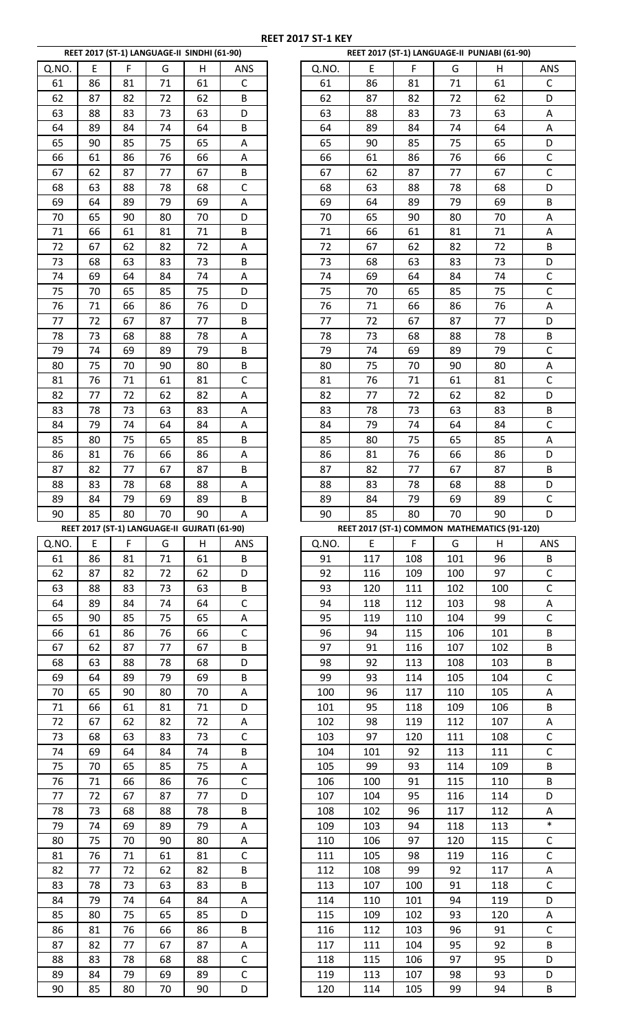|       |    |    | REET 2017 (ST-1) LANGUAGE-II SINDHI (61-90)  |    |     |
|-------|----|----|----------------------------------------------|----|-----|
| Q.NO. | E  | F  | G                                            | Н  | ANS |
| 61    | 86 | 81 | 71                                           | 61 | C   |
| 62    | 87 | 82 | 72                                           | 62 | B   |
| 63    | 88 | 83 | 73                                           | 63 | D   |
| 64    | 89 | 84 | 74                                           | 64 | B   |
|       |    |    | 75                                           | 65 | Α   |
| 65    | 90 | 85 |                                              |    |     |
| 66    | 61 | 86 | 76                                           | 66 | Α   |
| 67    | 62 | 87 | 77                                           | 67 | B   |
| 68    | 63 | 88 | 78                                           | 68 | C   |
| 69    | 64 | 89 | 79                                           | 69 | Α   |
| 70    | 65 | 90 | 80                                           | 70 | D   |
|       |    |    |                                              |    |     |
| 71    | 66 | 61 | 81                                           | 71 | B   |
| 72    | 67 | 62 | 82                                           | 72 | Α   |
| 73    | 68 | 63 | 83                                           | 73 | B   |
| 74    | 69 | 64 | 84                                           | 74 | А   |
| 75    | 70 | 65 | 85                                           | 75 | D   |
| 76    | 71 | 66 | 86                                           | 76 | D   |
| 77    | 72 | 67 | 87                                           | 77 |     |
|       |    |    |                                              |    | B   |
| 78    | 73 | 68 | 88                                           | 78 | Α   |
| 79    | 74 | 69 | 89                                           | 79 | В   |
| 80    | 75 | 70 | 90                                           | 80 | B   |
| 81    | 76 | 71 | 61                                           | 81 | C   |
| 82    | 77 | 72 | 62                                           | 82 | А   |
| 83    | 78 | 73 | 63                                           | 83 | Α   |
|       |    |    |                                              |    |     |
| 84    | 79 | 74 | 64                                           | 84 | Α   |
| 85    | 80 | 75 | 65                                           | 85 | B   |
| 86    | 81 | 76 | 66                                           | 86 | А   |
| 87    | 82 | 77 | 67                                           | 87 | B   |
| 88    | 83 | 78 | 68                                           | 88 | Α   |
| 89    | 84 | 79 | 69                                           | 89 | B   |
|       |    |    |                                              |    |     |
| 90    | 85 | 80 | 70                                           | 90 | A   |
|       |    |    |                                              |    |     |
|       |    |    | REET 2017 (ST-1) LANGUAGE-II GUJRATI (61-90) |    |     |
| Q.NO. | E  | F  | G                                            | Н  | ANS |
| 61    | 86 | 81 | 71                                           | 61 | В   |
|       |    |    |                                              |    |     |
| 62    | 87 | 82 | 72                                           | 62 | D   |
| 63    | 88 | 83 | 73                                           | 63 | B   |
| 64    | 89 | 84 | 74                                           | 64 | C   |
| 65    | 90 | 85 | 75                                           | 65 | Α   |
| 66    | 61 | 86 | 76                                           | 66 | C   |
| 67    | 62 | 87 | 77                                           | 67 | B   |
| 68    | 63 | 88 | 78                                           | 68 | D   |
| 69    | 64 | 89 | 79                                           | 69 | B   |
|       |    |    |                                              |    |     |
| 70    | 65 | 90 | 80                                           | 70 | Α   |
| 71    | 66 | 61 | 81                                           | 71 | D   |
| 72    | 67 | 62 | 82                                           | 72 | Α   |
| 73    | 68 | 63 | 83                                           | 73 | C   |
| 74    | 69 | 64 | 84                                           | 74 | B   |
| 75    | 70 | 65 | 85                                           | 75 | Α   |
| 76    | 71 | 66 | 86                                           | 76 | C   |
|       |    |    |                                              |    |     |
| 77    | 72 | 67 | 87                                           | 77 | D   |
| 78    | 73 | 68 | 88                                           | 78 | B   |
| 79    | 74 | 69 | 89                                           | 79 | Α   |
| 80    | 75 | 70 | 90                                           | 80 | Α   |
| 81    | 76 | 71 | 61                                           | 81 | C   |
| 82    | 77 | 72 | 62                                           | 82 | B   |
| 83    | 78 | 73 | 63                                           | 83 | B   |
|       |    |    |                                              |    |     |
| 84    | 79 | 74 | 64                                           | 84 | A   |
| 85    | 80 | 75 | 65                                           | 85 | D   |
| 86    | 81 | 76 | 66                                           | 86 | B   |
| 87    | 82 | 77 | 67                                           | 87 | Α   |
| 88    | 83 | 78 | 68                                           | 88 | C   |
| 89    | 84 | 79 | 69                                           | 89 | С   |
| 90    | 85 | 80 | 70                                           | 90 | D   |

|             |          |          | REET 2017 (ST-1) LANGUAGE-II SINDHI (61-90)  |          |                  |            |            |          |           | REET 2017 (ST-1) LANGUAGE-II PUNJABI (61-90) |                             |
|-------------|----------|----------|----------------------------------------------|----------|------------------|------------|------------|----------|-----------|----------------------------------------------|-----------------------------|
| Q.NO.       | E        | F        | G                                            | H        | ANS              | Q.NO.      | E          | F        | G         | H                                            | ANS                         |
| 61          | 86       | 81       | 71                                           | 61       | C                | 61         | 86         | 81       | 71        | 61                                           | $\mathsf{C}$                |
| 62          | 87       | 82       | 72                                           | 62       | B                | 62         | 87         | 82       | 72        | 62                                           | D                           |
| 63          | 88       | 83       | 73                                           | 63       | D                | 63         | 88         | 83       | 73        | 63                                           | Α                           |
| 64          | 89       | 84       | 74                                           | 64       | B                | 64         | 89         | 84       | 74        | 64                                           | Α                           |
| 65          | 90       | 85       | 75                                           | 65       | А                | 65         | 90         | 85       | 75        | 65                                           | D                           |
| 66          | 61       | 86       | 76                                           | 66       | А                | 66         | 61         | 86       | 76        | 66                                           | $\mathsf C$                 |
| 67          | 62       | 87       | 77                                           | 67       | B                | 67         | 62         | 87       | 77        | 67                                           | $\mathsf{C}$                |
| 68          | 63       | 88       | 78                                           | 68       | $\mathsf C$      | 68         | 63         | 88       | 78        | 68                                           | D                           |
| 69          | 64       | 89       | 79                                           | 69       | Α                | 69         | 64         | 89       | 79        | 69                                           | B                           |
| 70          | 65       | 90       | 80                                           | 70       | D                | 70         | 65         | 90       | 80        | 70                                           | Α                           |
| 71          | 66       | 61       | 81                                           | 71       | B                | 71         | 66         | 61       | 81        | 71                                           | Α                           |
| 72          | 67       | 62       | 82                                           | 72       | A                | 72         | 67         | 62       | 82        | 72                                           | B                           |
| 73          | 68       | 63       | 83                                           | 73       | B                | 73         | 68         | 63       | 83        | 73                                           | D                           |
| 74          | 69       | 64       | 84                                           | 74       | A                | 74         | 69         | 64       | 84        | 74                                           | $\mathsf C$                 |
| 75          | 70       | 65       | 85                                           | 75       | D                | 75         | 70         | 65       | 85        | 75                                           | $\mathsf{C}$                |
| 76          | 71       | 66       | 86                                           | 76       | D                | 76         | 71         | 66       | 86        | 76                                           | Α                           |
| 77          | 72       | 67       | 87                                           | 77       | B                | 77         | 72         | 67       | 87        | 77                                           | D                           |
| 78          | 73       | 68       | 88                                           | 78       | А                | 78         | 73         | 68       | 88        | 78                                           | B                           |
| 79          | 74       | 69       | 89                                           | 79       | B                | 79         | 74         | 69       | 89        | 79                                           | $\mathsf{C}$                |
| 80          | 75       | 70       | 90                                           | 80       | B                | 80         | 75         | 70       | 90        | 80                                           | Α                           |
| 81          | 76       | 71       | 61                                           | 81       | $\mathsf C$      | 81         | 76         | 71       | 61        | 81                                           | $\mathsf C$                 |
| 82          | 77       | 72       | 62                                           | 82       | A                | 82         | 77         | 72       | 62        | 82                                           | D                           |
| 83          | 78       | 73       | 63                                           | 83       | А                | 83         | 78         | 73       | 63        | 83                                           | B                           |
| 84          | 79       | 74       | 64                                           | 84       | А                | 84         | 79         | 74       | 64        | 84                                           | $\mathsf C$                 |
| 85          | 80       | 75       | 65                                           | 85       | B                | 85         | 80         | 75       | 65        | 85                                           | A                           |
| 86          | 81       | 76       | 66                                           | 86       | A                | 86         | 81         | 76       | 66        | 86                                           | D                           |
| 87          | 82       | 77       | 67                                           | 87       | B                | 87         | 82         | 77       | 67        | 87                                           | B                           |
| 88          | 83       | 78       | 68                                           | 88       | А                | 88         | 83         | 78       | 68        | 88                                           | D                           |
| 89          | 84       | 79       | 69                                           | 89       | B                | 89         | 84         | 79       | 69        | 89                                           | $\mathsf C$                 |
| 90          | 85       | 80       | 70                                           | 90       | Α                | 90         | 85         | 80       | 70        | 90                                           | D                           |
|             |          |          |                                              |          |                  |            |            |          |           |                                              |                             |
|             |          |          | REET 2017 (ST-1) LANGUAGE-II GUJRATI (61-90) |          |                  |            |            |          |           | REET 2017 (ST-1) COMMON MATHEMATICS (91-120) |                             |
|             | E        | F        | G                                            | H        | ANS              | Q.NO.      | E          | F        | G         | н                                            | ANS                         |
| 61          | 86       | 81       | 71                                           | 61       | B                | 91         | 117        | 108      | 101       | 96                                           | B                           |
| Q.NO.<br>62 | 87       | 82       | 72                                           | 62       | D                | 92         | 116        | 109      | 100       | 97                                           | $\mathsf{C}$                |
| 63          | 88       | 83       | 73                                           | 63       | B                | 93         | 120        | 111      | 102       | 100                                          | $\mathsf C$                 |
| 64          | 89       | 84       | 74                                           | 64       | $\mathsf C$      | 94         | 118        | 112      | 103       | 98                                           | A                           |
| 65          | 90       | 85       | 75                                           | 65       | А                | 95         | 119        | 110      | 104       | 99                                           | $\mathsf{C}$                |
| 66          | 61       | 86       | 76                                           | 66       | $\mathsf C$      | 96         | 94         | 115      | 106       | 101                                          | B                           |
| 67          | 62       | 87       | 77                                           | 67       | B                | 97         | 91         | 116      | 107       | 102                                          | B                           |
| 68          | 63       | 88       | 78                                           | 68       | D                | 98         | 92         | 113      | 108       | 103                                          | B                           |
| 69          | 64       | 89       | 79                                           | 69       | B                | 99         | 93         | 114      | 105       | 104                                          | $\mathsf{C}$                |
| 70          | 65       | 90       | 80                                           | 70       | А                | 100        | 96         | 117      | 110       | 105                                          | A                           |
| 71          | 66       | 61       | 81                                           | 71       | D                | 101        | 95         | 118      | 109       | 106                                          | B                           |
| 72          | 67       | 62       | 82                                           | 72       | А                | 102        | 98         | 119      | 112       | 107                                          | A                           |
| 73          | 68       | 63       | 83                                           | 73       | $\mathsf C$      | 103        | 97         | 120      | 111       | 108                                          | $\mathsf C$                 |
| 74          | 69       | 64       | 84                                           | 74       | B                | 104        | 101        | 92       | 113       | 111                                          | $\mathsf{C}$                |
| 75          | 70       | 65       | 85                                           | 75       | A                | 105        | 99         | 93       | 114       | 109                                          | B                           |
| 76          | 71       | 66       | 86                                           | 76       | $\mathsf{C}$     | 106        | 100        | 91       | 115       | 110                                          | B                           |
| 77          | 72       | 67       | 87                                           | 77       | D                | 107        | 104        | 95       | 116       | 114                                          | D                           |
| 78          | 73       | 68       | 88                                           | 78       | B                | 108        | 102        | 96       | 117       | 112                                          | A<br>$\ast$                 |
| 79          | 74       | 69       | 89                                           | 79       | А                | 109        | 103        | 94       | 118       | 113                                          |                             |
| 80          | 75<br>76 | 70<br>71 | 90                                           | 80<br>81 | А                | 110        | 106        | 97       | 120       | 115                                          | $\mathsf C$<br>$\mathsf{C}$ |
| 81<br>82    | 77       | 72       | 61<br>62                                     | 82       | $\mathsf C$<br>B | 111<br>112 | 105<br>108 | 98<br>99 | 119<br>92 | 116<br>117                                   | Α                           |
| 83          | 78       | 73       | 63                                           | 83       | B                | 113        | 107        | 100      | 91        |                                              | $\mathsf{C}$                |
| 84          | 79       | 74       | 64                                           | 84       | А                | 114        | 110        | 101      | 94        | 118<br>119                                   | D                           |
| 85          | 80       | 75       | 65                                           | 85       | D                | 115        | 109        | 102      | 93        | 120                                          | A                           |
| 86          | 81       | 76       | 66                                           | 86       | B                | 116        | 112        | 103      | 96        | 91                                           | $\mathsf C$                 |
| 87          | 82       | 77       | 67                                           | 87       | A                | 117        | 111        | 104      | 95        | 92                                           | B                           |
| 88          | 83       | 78       | 68                                           | 88       | $\mathsf{C}$     | 118        | 115        | 106      | 97        | 95                                           | D                           |
| 89          | 84       | 79       | 69                                           | 89       | $\mathsf C$      | 119        | 113        | 107      | 98        | 93                                           | D                           |